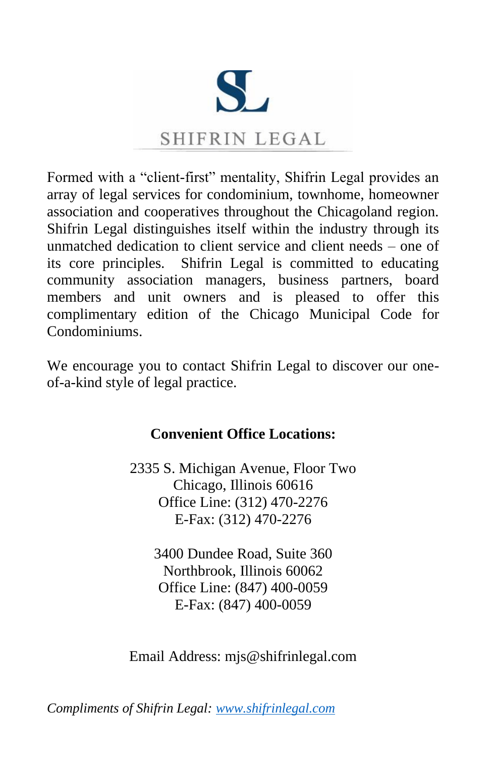

Formed with a "client-first" mentality, Shifrin Legal provides an array of legal services for condominium, townhome, homeowner association and cooperatives throughout the Chicagoland region. Shifrin Legal distinguishes itself within the industry through its unmatched dedication to client service and client needs – one of its core principles. Shifrin Legal is committed to educating community association managers, business partners, board members and unit owners and is pleased to offer this complimentary edition of the Chicago Municipal Code for Condominiums.

We encourage you to contact Shifrin Legal to discover our oneof-a-kind style of legal practice.

# **Convenient Office Locations:**

2335 S. Michigan Avenue, Floor Two Chicago, Illinois 60616 Office Line: (312) 470-2276 E-Fax: (312) 470-2276

> 3400 Dundee Road, Suite 360 Northbrook, Illinois 60062 Office Line: (847) 400-0059 E-Fax: (847) 400-0059

Email Address: mjs@shifrinlegal.com

*Compliments of Shifrin Legal: [www.shifrinlegal.com](http://www.shifrinlegal.com/)*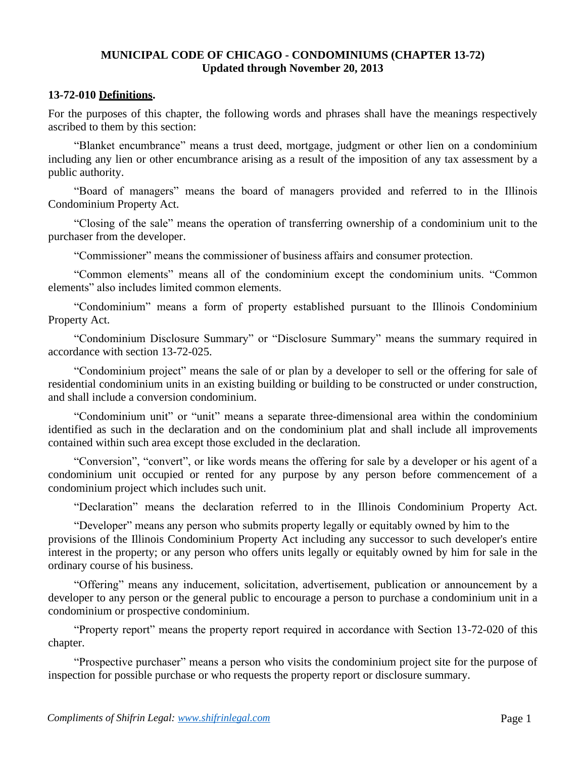### **MUNICIPAL CODE OF CHICAGO - CONDOMINIUMS (CHAPTER 13-72) Updated through November 20, 2013**

### **13-72-010 Definitions.**

For the purposes of this chapter, the following words and phrases shall have the meanings respectively ascribed to them by this section:

"Blanket encumbrance" means a trust deed, mortgage, judgment or other lien on a condominium including any lien or other encumbrance arising as a result of the imposition of any tax assessment by a public authority.

"Board of managers" means the board of managers provided and referred to in the Illinois Condominium Property Act.

"Closing of the sale" means the operation of transferring ownership of a condominium unit to the purchaser from the developer.

"Commissioner" means the commissioner of business affairs and consumer protection.

"Common elements" means all of the condominium except the condominium units. "Common elements" also includes limited common elements.

"Condominium" means a form of property established pursuant to the Illinois Condominium Property Act.

"Condominium Disclosure Summary" or "Disclosure Summary" means the summary required in accordance with section 13-72-025.

"Condominium project" means the sale of or plan by a developer to sell or the offering for sale of residential condominium units in an existing building or building to be constructed or under construction, and shall include a conversion condominium.

"Condominium unit" or "unit" means a separate three-dimensional area within the condominium identified as such in the declaration and on the condominium plat and shall include all improvements contained within such area except those excluded in the declaration.

"Conversion", "convert", or like words means the offering for sale by a developer or his agent of a condominium unit occupied or rented for any purpose by any person before commencement of a condominium project which includes such unit.

"Declaration" means the declaration referred to in the Illinois Condominium Property Act.

"Developer" means any person who submits property legally or equitably owned by him to the provisions of the Illinois Condominium Property Act including any successor to such developer's entire interest in the property; or any person who offers units legally or equitably owned by him for sale in the ordinary course of his business.

"Offering" means any inducement, solicitation, advertisement, publication or announcement by a developer to any person or the general public to encourage a person to purchase a condominium unit in a condominium or prospective condominium.

"Property report" means the property report required in accordance with Section 13-72-020 of this chapter.

"Prospective purchaser" means a person who visits the condominium project site for the purpose of inspection for possible purchase or who requests the property report or disclosure summary.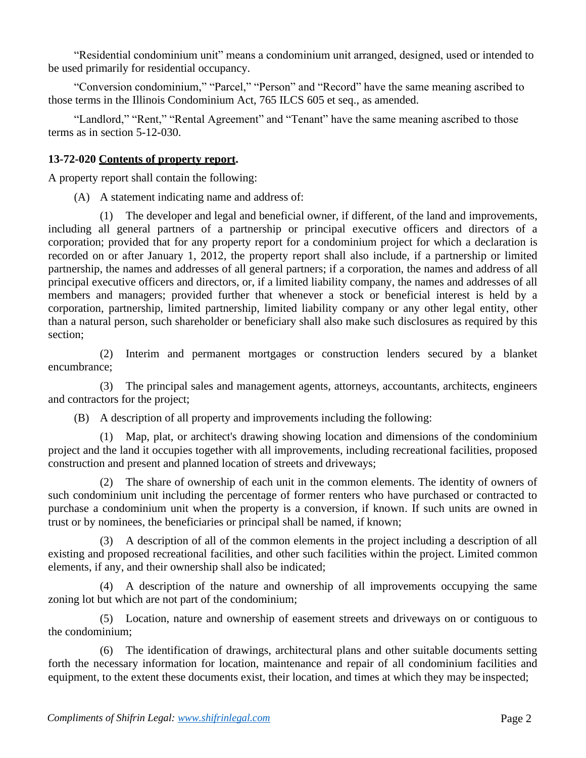"Residential condominium unit" means a condominium unit arranged, designed, used or intended to be used primarily for residential occupancy.

"Conversion condominium," "Parcel," "Person" and "Record" have the same meaning ascribed to those terms in the Illinois Condominium Act, 765 ILCS 605 et seq., as amended.

"Landlord," "Rent," "Rental Agreement" and "Tenant" have the same meaning ascribed to those terms as in section 5-12-030.

# **13-72-020 Contents of property report.**

A property report shall contain the following:

(A) A statement indicating name and address of:

(1) The developer and legal and beneficial owner, if different, of the land and improvements, including all general partners of a partnership or principal executive officers and directors of a corporation; provided that for any property report for a condominium project for which a declaration is recorded on or after January 1, 2012, the property report shall also include, if a partnership or limited partnership, the names and addresses of all general partners; if a corporation, the names and address of all principal executive officers and directors, or, if a limited liability company, the names and addresses of all members and managers; provided further that whenever a stock or beneficial interest is held by a corporation, partnership, limited partnership, limited liability company or any other legal entity, other than a natural person, such shareholder or beneficiary shall also make such disclosures as required by this section;

(2) Interim and permanent mortgages or construction lenders secured by a blanket encumbrance;

(3) The principal sales and management agents, attorneys, accountants, architects, engineers and contractors for the project;

(B) A description of all property and improvements including the following:

(1) Map, plat, or architect's drawing showing location and dimensions of the condominium project and the land it occupies together with all improvements, including recreational facilities, proposed construction and present and planned location of streets and driveways;

(2) The share of ownership of each unit in the common elements. The identity of owners of such condominium unit including the percentage of former renters who have purchased or contracted to purchase a condominium unit when the property is a conversion, if known. If such units are owned in trust or by nominees, the beneficiaries or principal shall be named, if known;

(3) A description of all of the common elements in the project including a description of all existing and proposed recreational facilities, and other such facilities within the project. Limited common elements, if any, and their ownership shall also be indicated;

(4) A description of the nature and ownership of all improvements occupying the same zoning lot but which are not part of the condominium;

(5) Location, nature and ownership of easement streets and driveways on or contiguous to the condominium;

(6) The identification of drawings, architectural plans and other suitable documents setting forth the necessary information for location, maintenance and repair of all condominium facilities and equipment, to the extent these documents exist, their location, and times at which they may be inspected;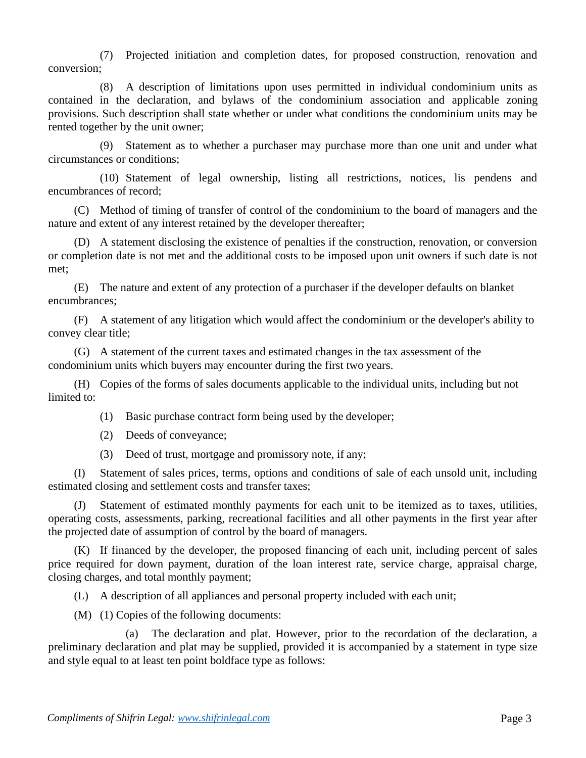(7) Projected initiation and completion dates, for proposed construction, renovation and conversion;

(8) A description of limitations upon uses permitted in individual condominium units as contained in the declaration, and bylaws of the condominium association and applicable zoning provisions. Such description shall state whether or under what conditions the condominium units may be rented together by the unit owner;

(9) Statement as to whether a purchaser may purchase more than one unit and under what circumstances or conditions;

(10) Statement of legal ownership, listing all restrictions, notices, lis pendens and encumbrances of record;

(C) Method of timing of transfer of control of the condominium to the board of managers and the nature and extent of any interest retained by the developer thereafter;

(D) A statement disclosing the existence of penalties if the construction, renovation, or conversion or completion date is not met and the additional costs to be imposed upon unit owners if such date is not met;

(E) The nature and extent of any protection of a purchaser if the developer defaults on blanket encumbrances;

(F) A statement of any litigation which would affect the condominium or the developer's ability to convey clear title;

(G) A statement of the current taxes and estimated changes in the tax assessment of the condominium units which buyers may encounter during the first two years.

(H) Copies of the forms of sales documents applicable to the individual units, including but not limited to:

(1) Basic purchase contract form being used by the developer;

- (2) Deeds of conveyance;
- (3) Deed of trust, mortgage and promissory note, if any;

(I) Statement of sales prices, terms, options and conditions of sale of each unsold unit, including estimated closing and settlement costs and transfer taxes;

(J) Statement of estimated monthly payments for each unit to be itemized as to taxes, utilities, operating costs, assessments, parking, recreational facilities and all other payments in the first year after the projected date of assumption of control by the board of managers.

(K) If financed by the developer, the proposed financing of each unit, including percent of sales price required for down payment, duration of the loan interest rate, service charge, appraisal charge, closing charges, and total monthly payment;

(L) A description of all appliances and personal property included with each unit;

(M) (1) Copies of the following documents:

(a) The declaration and plat. However, prior to the recordation of the declaration, a preliminary declaration and plat may be supplied, provided it is accompanied by a statement in type size and style equal to at least ten point boldface type as follows: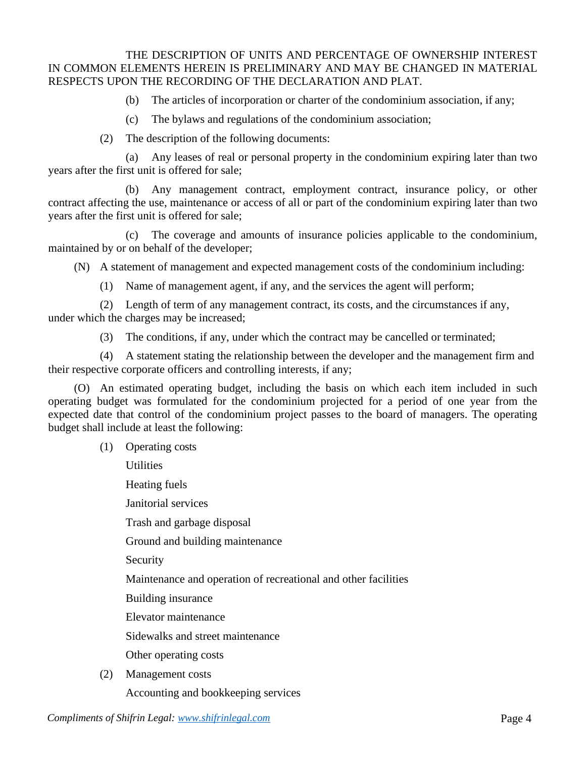# THE DESCRIPTION OF UNITS AND PERCENTAGE OF OWNERSHIP INTEREST IN COMMON ELEMENTS HEREIN IS PRELIMINARY AND MAY BE CHANGED IN MATERIAL RESPECTS UPON THE RECORDING OF THE DECLARATION AND PLAT.

- (b) The articles of incorporation or charter of the condominium association, if any;
- (c) The bylaws and regulations of the condominium association;
- (2) The description of the following documents:

(a) Any leases of real or personal property in the condominium expiring later than two years after the first unit is offered for sale;

(b) Any management contract, employment contract, insurance policy, or other contract affecting the use, maintenance or access of all or part of the condominium expiring later than two years after the first unit is offered for sale;

(c) The coverage and amounts of insurance policies applicable to the condominium, maintained by or on behalf of the developer;

(N) A statement of management and expected management costs of the condominium including:

(1) Name of management agent, if any, and the services the agent will perform;

(2) Length of term of any management contract, its costs, and the circumstances if any, under which the charges may be increased;

(3) The conditions, if any, under which the contract may be cancelled or terminated;

(4) A statement stating the relationship between the developer and the management firm and their respective corporate officers and controlling interests, if any;

(O) An estimated operating budget, including the basis on which each item included in such operating budget was formulated for the condominium projected for a period of one year from the expected date that control of the condominium project passes to the board of managers. The operating budget shall include at least the following:

(1) Operating costs

**Utilities** 

Heating fuels

Janitorial services

Trash and garbage disposal

Ground and building maintenance

Security

Maintenance and operation of recreational and other facilities

Building insurance

Elevator maintenance

Sidewalks and street maintenance

Other operating costs

(2) Management costs

Accounting and bookkeeping services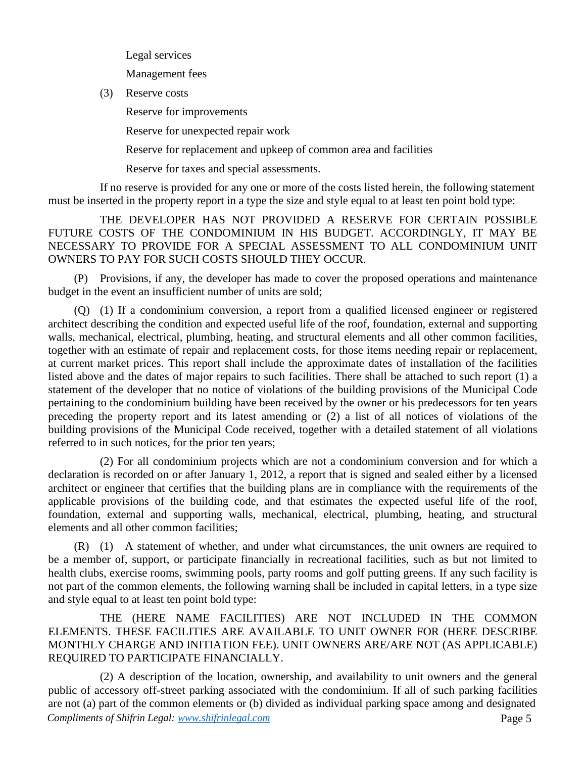Legal services

Management fees

(3) Reserve costs

Reserve for improvements

Reserve for unexpected repair work

Reserve for replacement and upkeep of common area and facilities

Reserve for taxes and special assessments.

If no reserve is provided for any one or more of the costs listed herein, the following statement must be inserted in the property report in a type the size and style equal to at least ten point bold type:

THE DEVELOPER HAS NOT PROVIDED A RESERVE FOR CERTAIN POSSIBLE FUTURE COSTS OF THE CONDOMINIUM IN HIS BUDGET. ACCORDINGLY, IT MAY BE NECESSARY TO PROVIDE FOR A SPECIAL ASSESSMENT TO ALL CONDOMINIUM UNIT OWNERS TO PAY FOR SUCH COSTS SHOULD THEY OCCUR.

(P) Provisions, if any, the developer has made to cover the proposed operations and maintenance budget in the event an insufficient number of units are sold;

(Q) (1) If a condominium conversion, a report from a qualified licensed engineer or registered architect describing the condition and expected useful life of the roof, foundation, external and supporting walls, mechanical, electrical, plumbing, heating, and structural elements and all other common facilities, together with an estimate of repair and replacement costs, for those items needing repair or replacement, at current market prices. This report shall include the approximate dates of installation of the facilities listed above and the dates of major repairs to such facilities. There shall be attached to such report (1) a statement of the developer that no notice of violations of the building provisions of the Municipal Code pertaining to the condominium building have been received by the owner or his predecessors for ten years preceding the property report and its latest amending or (2) a list of all notices of violations of the building provisions of the Municipal Code received, together with a detailed statement of all violations referred to in such notices, for the prior ten years;

(2) For all condominium projects which are not a condominium conversion and for which a declaration is recorded on or after January 1, 2012, a report that is signed and sealed either by a licensed architect or engineer that certifies that the building plans are in compliance with the requirements of the applicable provisions of the building code, and that estimates the expected useful life of the roof, foundation, external and supporting walls, mechanical, electrical, plumbing, heating, and structural elements and all other common facilities;

(R) (1) A statement of whether, and under what circumstances, the unit owners are required to be a member of, support, or participate financially in recreational facilities, such as but not limited to health clubs, exercise rooms, swimming pools, party rooms and golf putting greens. If any such facility is not part of the common elements, the following warning shall be included in capital letters, in a type size and style equal to at least ten point bold type:

THE (HERE NAME FACILITIES) ARE NOT INCLUDED IN THE COMMON ELEMENTS. THESE FACILITIES ARE AVAILABLE TO UNIT OWNER FOR (HERE DESCRIBE MONTHLY CHARGE AND INITIATION FEE). UNIT OWNERS ARE/ARE NOT (AS APPLICABLE) REQUIRED TO PARTICIPATE FINANCIALLY.

*Compliments of Shifrin Legal: www.shifrinlegal.com* Page 5 (2) A description of the location, ownership, and availability to unit owners and the general public of accessory off-street parking associated with the condominium. If all of such parking facilities are not (a) part of the common elements or (b) divided as individual parking space among and designated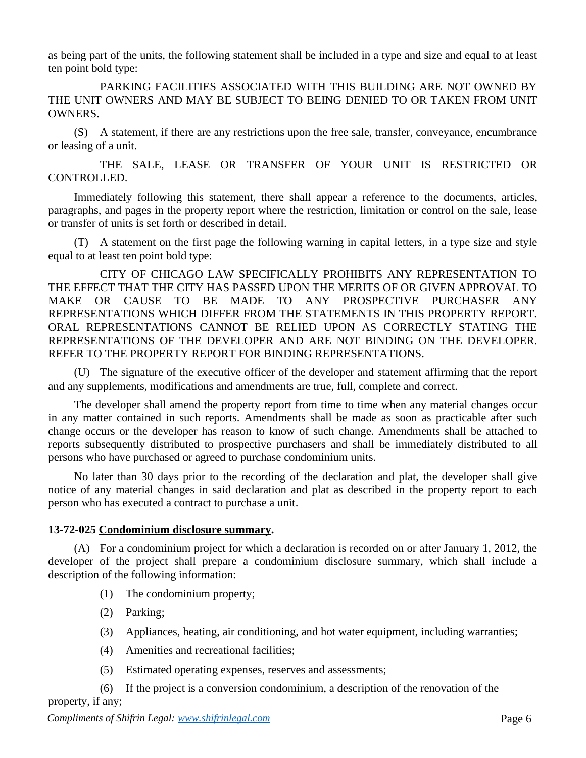as being part of the units, the following statement shall be included in a type and size and equal to at least ten point bold type:

PARKING FACILITIES ASSOCIATED WITH THIS BUILDING ARE NOT OWNED BY THE UNIT OWNERS AND MAY BE SUBJECT TO BEING DENIED TO OR TAKEN FROM UNIT OWNERS.

(S) A statement, if there are any restrictions upon the free sale, transfer, conveyance, encumbrance or leasing of a unit.

THE SALE, LEASE OR TRANSFER OF YOUR UNIT IS RESTRICTED OR CONTROLLED.

Immediately following this statement, there shall appear a reference to the documents, articles, paragraphs, and pages in the property report where the restriction, limitation or control on the sale, lease or transfer of units is set forth or described in detail.

(T) A statement on the first page the following warning in capital letters, in a type size and style equal to at least ten point bold type:

CITY OF CHICAGO LAW SPECIFICALLY PROHIBITS ANY REPRESENTATION TO THE EFFECT THAT THE CITY HAS PASSED UPON THE MERITS OF OR GIVEN APPROVAL TO MAKE OR CAUSE TO BE MADE TO ANY PROSPECTIVE PURCHASER ANY REPRESENTATIONS WHICH DIFFER FROM THE STATEMENTS IN THIS PROPERTY REPORT. ORAL REPRESENTATIONS CANNOT BE RELIED UPON AS CORRECTLY STATING THE REPRESENTATIONS OF THE DEVELOPER AND ARE NOT BINDING ON THE DEVELOPER. REFER TO THE PROPERTY REPORT FOR BINDING REPRESENTATIONS.

(U) The signature of the executive officer of the developer and statement affirming that the report and any supplements, modifications and amendments are true, full, complete and correct.

The developer shall amend the property report from time to time when any material changes occur in any matter contained in such reports. Amendments shall be made as soon as practicable after such change occurs or the developer has reason to know of such change. Amendments shall be attached to reports subsequently distributed to prospective purchasers and shall be immediately distributed to all persons who have purchased or agreed to purchase condominium units.

No later than 30 days prior to the recording of the declaration and plat, the developer shall give notice of any material changes in said declaration and plat as described in the property report to each person who has executed a contract to purchase a unit.

### **13-72-025 Condominium disclosure summary.**

(A) For a condominium project for which a declaration is recorded on or after January 1, 2012, the developer of the project shall prepare a condominium disclosure summary, which shall include a description of the following information:

- (1) The condominium property;
- (2) Parking;
- (3) Appliances, heating, air conditioning, and hot water equipment, including warranties;
- (4) Amenities and recreational facilities;
- (5) Estimated operating expenses, reserves and assessments;

(6) If the project is a conversion condominium, a description of the renovation of the

property, if any;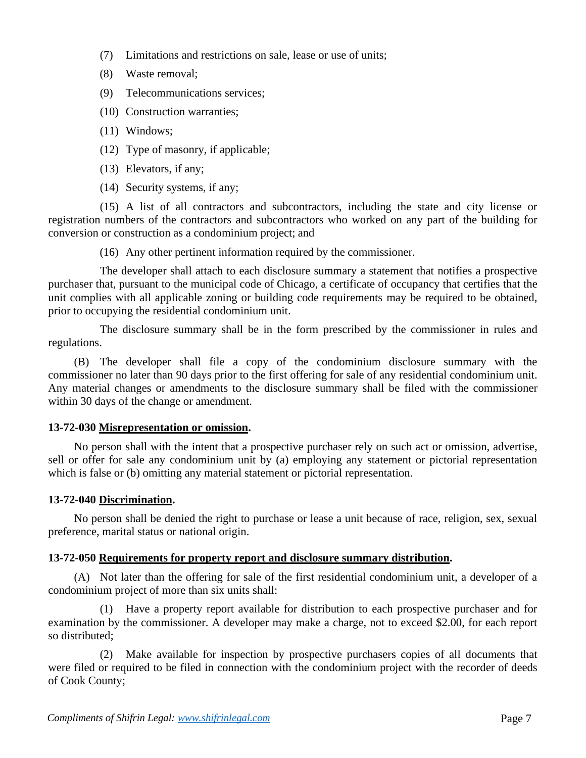- (7) Limitations and restrictions on sale, lease or use of units;
- (8) Waste removal;
- (9) Telecommunications services;
- (10) Construction warranties;
- (11) Windows;
- (12) Type of masonry, if applicable;
- (13) Elevators, if any;
- (14) Security systems, if any;

(15) A list of all contractors and subcontractors, including the state and city license or registration numbers of the contractors and subcontractors who worked on any part of the building for conversion or construction as a condominium project; and

(16) Any other pertinent information required by the commissioner.

The developer shall attach to each disclosure summary a statement that notifies a prospective purchaser that, pursuant to the municipal code of Chicago, a certificate of occupancy that certifies that the unit complies with all applicable zoning or building code requirements may be required to be obtained, prior to occupying the residential condominium unit.

The disclosure summary shall be in the form prescribed by the commissioner in rules and regulations.

(B) The developer shall file a copy of the condominium disclosure summary with the commissioner no later than 90 days prior to the first offering for sale of any residential condominium unit. Any material changes or amendments to the disclosure summary shall be filed with the commissioner within 30 days of the change or amendment.

### **13-72-030 Misrepresentation or omission.**

No person shall with the intent that a prospective purchaser rely on such act or omission, advertise, sell or offer for sale any condominium unit by (a) employing any statement or pictorial representation which is false or (b) omitting any material statement or pictorial representation.

### **13-72-040 Discrimination.**

No person shall be denied the right to purchase or lease a unit because of race, religion, sex, sexual preference, marital status or national origin.

### **13-72-050 Requirements for property report and disclosure summary distribution.**

(A) Not later than the offering for sale of the first residential condominium unit, a developer of a condominium project of more than six units shall:

(1) Have a property report available for distribution to each prospective purchaser and for examination by the commissioner. A developer may make a charge, not to exceed \$2.00, for each report so distributed;

(2) Make available for inspection by prospective purchasers copies of all documents that were filed or required to be filed in connection with the condominium project with the recorder of deeds of Cook County;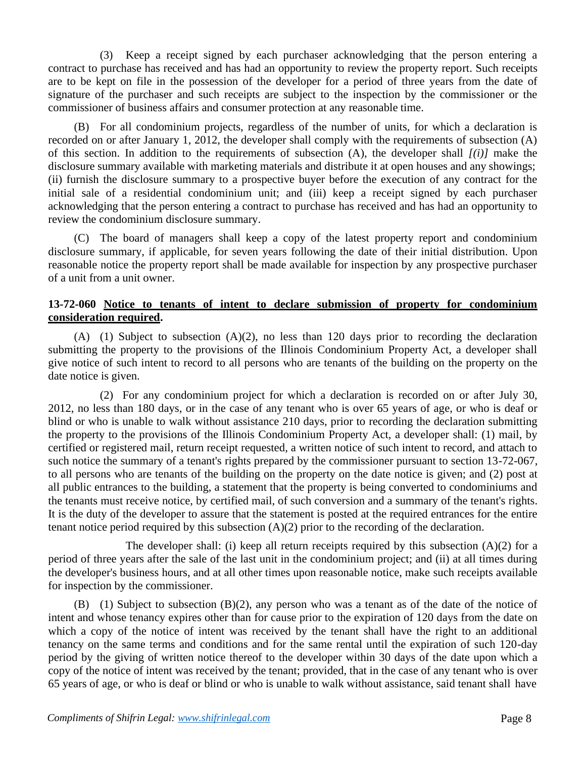(3) Keep a receipt signed by each purchaser acknowledging that the person entering a contract to purchase has received and has had an opportunity to review the property report. Such receipts are to be kept on file in the possession of the developer for a period of three years from the date of signature of the purchaser and such receipts are subject to the inspection by the commissioner or the commissioner of business affairs and consumer protection at any reasonable time.

(B) For all condominium projects, regardless of the number of units, for which a declaration is recorded on or after January 1, 2012, the developer shall comply with the requirements of subsection (A) of this section. In addition to the requirements of subsection (A), the developer shall *[(i)]* make the disclosure summary available with marketing materials and distribute it at open houses and any showings; (ii) furnish the disclosure summary to a prospective buyer before the execution of any contract for the initial sale of a residential condominium unit; and (iii) keep a receipt signed by each purchaser acknowledging that the person entering a contract to purchase has received and has had an opportunity to review the condominium disclosure summary.

(C) The board of managers shall keep a copy of the latest property report and condominium disclosure summary, if applicable, for seven years following the date of their initial distribution. Upon reasonable notice the property report shall be made available for inspection by any prospective purchaser of a unit from a unit owner.

# **13-72-060 Notice to tenants of intent to declare submission of property for condominium consideration required.**

(A) (1) Subject to subsection  $(A)(2)$ , no less than 120 days prior to recording the declaration submitting the property to the provisions of the Illinois Condominium Property Act, a developer shall give notice of such intent to record to all persons who are tenants of the building on the property on the date notice is given.

(2) For any condominium project for which a declaration is recorded on or after July 30, 2012, no less than 180 days, or in the case of any tenant who is over 65 years of age, or who is deaf or blind or who is unable to walk without assistance 210 days, prior to recording the declaration submitting the property to the provisions of the Illinois Condominium Property Act, a developer shall: (1) mail, by certified or registered mail, return receipt requested, a written notice of such intent to record, and attach to such notice the summary of a tenant's rights prepared by the commissioner pursuant to section 13-72-067, to all persons who are tenants of the building on the property on the date notice is given; and (2) post at all public entrances to the building, a statement that the property is being converted to condominiums and the tenants must receive notice, by certified mail, of such conversion and a summary of the tenant's rights. It is the duty of the developer to assure that the statement is posted at the required entrances for the entire tenant notice period required by this subsection (A)(2) prior to the recording of the declaration.

The developer shall: (i) keep all return receipts required by this subsection  $(A)(2)$  for a period of three years after the sale of the last unit in the condominium project; and (ii) at all times during the developer's business hours, and at all other times upon reasonable notice, make such receipts available for inspection by the commissioner.

(B) (1) Subject to subsection (B)(2), any person who was a tenant as of the date of the notice of intent and whose tenancy expires other than for cause prior to the expiration of 120 days from the date on which a copy of the notice of intent was received by the tenant shall have the right to an additional tenancy on the same terms and conditions and for the same rental until the expiration of such 120-day period by the giving of written notice thereof to the developer within 30 days of the date upon which a copy of the notice of intent was received by the tenant; provided, that in the case of any tenant who is over 65 years of age, or who is deaf or blind or who is unable to walk without assistance, said tenant shall have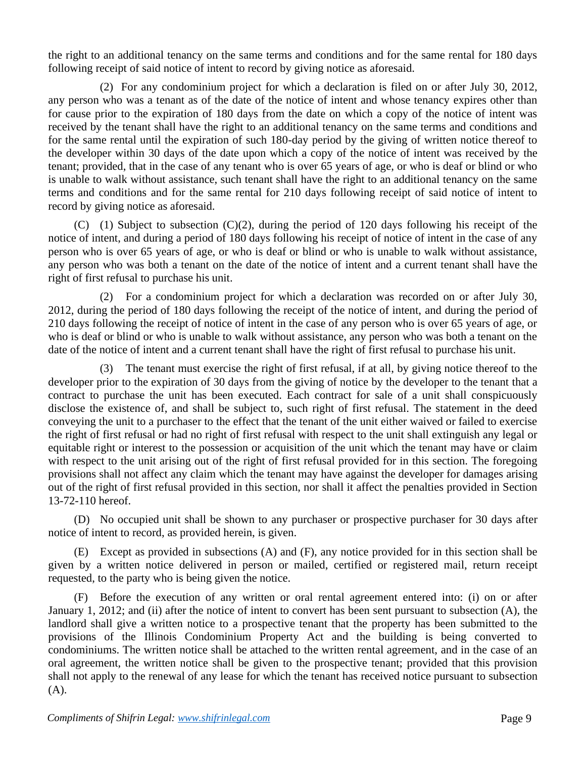the right to an additional tenancy on the same terms and conditions and for the same rental for 180 days following receipt of said notice of intent to record by giving notice as aforesaid.

(2) For any condominium project for which a declaration is filed on or after July 30, 2012, any person who was a tenant as of the date of the notice of intent and whose tenancy expires other than for cause prior to the expiration of 180 days from the date on which a copy of the notice of intent was received by the tenant shall have the right to an additional tenancy on the same terms and conditions and for the same rental until the expiration of such 180-day period by the giving of written notice thereof to the developer within 30 days of the date upon which a copy of the notice of intent was received by the tenant; provided, that in the case of any tenant who is over 65 years of age, or who is deaf or blind or who is unable to walk without assistance, such tenant shall have the right to an additional tenancy on the same terms and conditions and for the same rental for 210 days following receipt of said notice of intent to record by giving notice as aforesaid.

(C) (1) Subject to subsection (C)(2), during the period of 120 days following his receipt of the notice of intent, and during a period of 180 days following his receipt of notice of intent in the case of any person who is over 65 years of age, or who is deaf or blind or who is unable to walk without assistance, any person who was both a tenant on the date of the notice of intent and a current tenant shall have the right of first refusal to purchase his unit.

(2) For a condominium project for which a declaration was recorded on or after July 30, 2012, during the period of 180 days following the receipt of the notice of intent, and during the period of 210 days following the receipt of notice of intent in the case of any person who is over 65 years of age, or who is deaf or blind or who is unable to walk without assistance, any person who was both a tenant on the date of the notice of intent and a current tenant shall have the right of first refusal to purchase his unit.

(3) The tenant must exercise the right of first refusal, if at all, by giving notice thereof to the developer prior to the expiration of 30 days from the giving of notice by the developer to the tenant that a contract to purchase the unit has been executed. Each contract for sale of a unit shall conspicuously disclose the existence of, and shall be subject to, such right of first refusal. The statement in the deed conveying the unit to a purchaser to the effect that the tenant of the unit either waived or failed to exercise the right of first refusal or had no right of first refusal with respect to the unit shall extinguish any legal or equitable right or interest to the possession or acquisition of the unit which the tenant may have or claim with respect to the unit arising out of the right of first refusal provided for in this section. The foregoing provisions shall not affect any claim which the tenant may have against the developer for damages arising out of the right of first refusal provided in this section, nor shall it affect the penalties provided in Section 13-72-110 hereof.

(D) No occupied unit shall be shown to any purchaser or prospective purchaser for 30 days after notice of intent to record, as provided herein, is given.

(E) Except as provided in subsections (A) and (F), any notice provided for in this section shall be given by a written notice delivered in person or mailed, certified or registered mail, return receipt requested, to the party who is being given the notice.

(F) Before the execution of any written or oral rental agreement entered into: (i) on or after January 1, 2012; and (ii) after the notice of intent to convert has been sent pursuant to subsection (A), the landlord shall give a written notice to a prospective tenant that the property has been submitted to the provisions of the Illinois Condominium Property Act and the building is being converted to condominiums. The written notice shall be attached to the written rental agreement, and in the case of an oral agreement, the written notice shall be given to the prospective tenant; provided that this provision shall not apply to the renewal of any lease for which the tenant has received notice pursuant to subsection (A).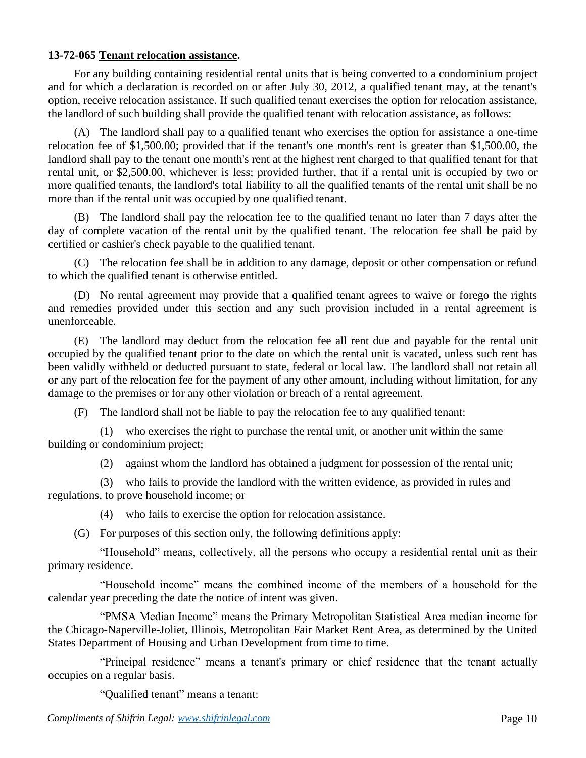### **13-72-065 Tenant relocation assistance.**

For any building containing residential rental units that is being converted to a condominium project and for which a declaration is recorded on or after July 30, 2012, a qualified tenant may, at the tenant's option, receive relocation assistance. If such qualified tenant exercises the option for relocation assistance, the landlord of such building shall provide the qualified tenant with relocation assistance, as follows:

(A) The landlord shall pay to a qualified tenant who exercises the option for assistance a one-time relocation fee of \$1,500.00; provided that if the tenant's one month's rent is greater than \$1,500.00, the landlord shall pay to the tenant one month's rent at the highest rent charged to that qualified tenant for that rental unit, or \$2,500.00, whichever is less; provided further, that if a rental unit is occupied by two or more qualified tenants, the landlord's total liability to all the qualified tenants of the rental unit shall be no more than if the rental unit was occupied by one qualified tenant.

(B) The landlord shall pay the relocation fee to the qualified tenant no later than 7 days after the day of complete vacation of the rental unit by the qualified tenant. The relocation fee shall be paid by certified or cashier's check payable to the qualified tenant.

(C) The relocation fee shall be in addition to any damage, deposit or other compensation or refund to which the qualified tenant is otherwise entitled.

(D) No rental agreement may provide that a qualified tenant agrees to waive or forego the rights and remedies provided under this section and any such provision included in a rental agreement is unenforceable.

(E) The landlord may deduct from the relocation fee all rent due and payable for the rental unit occupied by the qualified tenant prior to the date on which the rental unit is vacated, unless such rent has been validly withheld or deducted pursuant to state, federal or local law. The landlord shall not retain all or any part of the relocation fee for the payment of any other amount, including without limitation, for any damage to the premises or for any other violation or breach of a rental agreement.

(F) The landlord shall not be liable to pay the relocation fee to any qualified tenant:

(1) who exercises the right to purchase the rental unit, or another unit within the same building or condominium project;

(2) against whom the landlord has obtained a judgment for possession of the rental unit;

(3) who fails to provide the landlord with the written evidence, as provided in rules and regulations, to prove household income; or

(4) who fails to exercise the option for relocation assistance.

(G) For purposes of this section only, the following definitions apply:

"Household" means, collectively, all the persons who occupy a residential rental unit as their primary residence.

"Household income" means the combined income of the members of a household for the calendar year preceding the date the notice of intent was given.

"PMSA Median Income" means the Primary Metropolitan Statistical Area median income for the Chicago-Naperville-Joliet, Illinois, Metropolitan Fair Market Rent Area, as determined by the United States Department of Housing and Urban Development from time to time.

"Principal residence" means a tenant's primary or chief residence that the tenant actually occupies on a regular basis.

"Qualified tenant" means a tenant: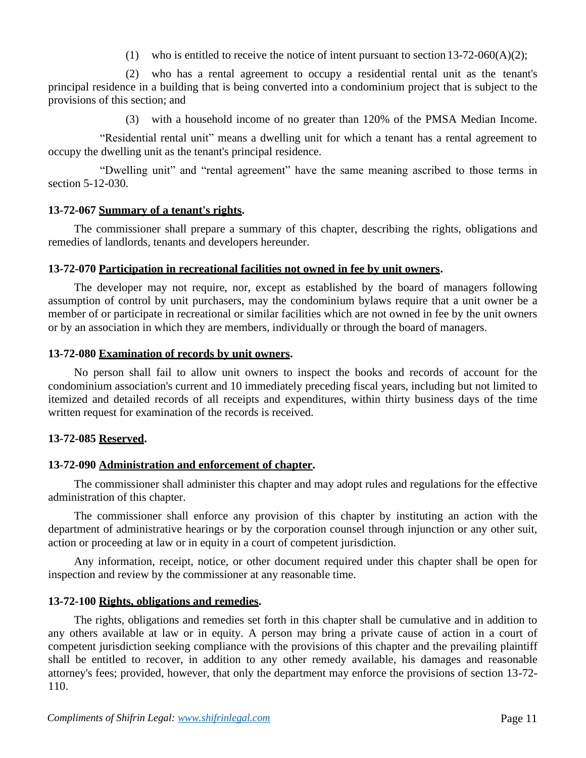(1) who is entitled to receive the notice of intent pursuant to section  $13-72-060(A)(2)$ ;

(2) who has a rental agreement to occupy a residential rental unit as the tenant's principal residence in a building that is being converted into a condominium project that is subject to the provisions of this section; and

(3) with a household income of no greater than 120% of the PMSA Median Income.

"Residential rental unit" means a dwelling unit for which a tenant has a rental agreement to occupy the dwelling unit as the tenant's principal residence.

"Dwelling unit" and "rental agreement" have the same meaning ascribed to those terms in section 5-12-030.

## **13-72-067 Summary of a tenant's rights.**

The commissioner shall prepare a summary of this chapter, describing the rights, obligations and remedies of landlords, tenants and developers hereunder.

## **13-72-070 Participation in recreational facilities not owned in fee by unit owners.**

The developer may not require, nor, except as established by the board of managers following assumption of control by unit purchasers, may the condominium bylaws require that a unit owner be a member of or participate in recreational or similar facilities which are not owned in fee by the unit owners or by an association in which they are members, individually or through the board of managers.

### **13-72-080 Examination of records by unit owners.**

No person shall fail to allow unit owners to inspect the books and records of account for the condominium association's current and 10 immediately preceding fiscal years, including but not limited to itemized and detailed records of all receipts and expenditures, within thirty business days of the time written request for examination of the records is received.

# **13-72-085 Reserved.**

# **13-72-090 Administration and enforcement of chapter.**

The commissioner shall administer this chapter and may adopt rules and regulations for the effective administration of this chapter.

The commissioner shall enforce any provision of this chapter by instituting an action with the department of administrative hearings or by the corporation counsel through injunction or any other suit, action or proceeding at law or in equity in a court of competent jurisdiction.

Any information, receipt, notice, or other document required under this chapter shall be open for inspection and review by the commissioner at any reasonable time.

### **13-72-100 Rights, obligations and remedies.**

The rights, obligations and remedies set forth in this chapter shall be cumulative and in addition to any others available at law or in equity. A person may bring a private cause of action in a court of competent jurisdiction seeking compliance with the provisions of this chapter and the prevailing plaintiff shall be entitled to recover, in addition to any other remedy available, his damages and reasonable attorney's fees; provided, however, that only the department may enforce the provisions of section 13-72- 110.